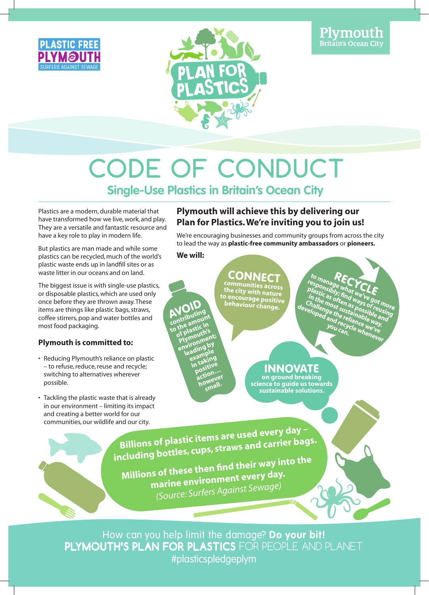



# **CODE OF CONDUCT**

**Single-Use Plastics in Britain's Ocean City**

Plastics are a modern, durable material that have transformed how we live, work, and play. They are a versatile and fantastic resource and have a key role to play in modern life.

But plastics are man made and while some plastics can be recycled, much of the world's plastic waste ends up in landfill sites or as waste litter in our oceans and on land.

The biggest issue is with single-use plastics, or disposable plastics, which are used only once before they are thrown away. These items are things like plastic bags, straws, coffee stirrers, pop and water bottles and most food packaging.

#### **Plymouth is committed to:**

- Reducing Plymouth's reliance on plastic – to refuse, reduce, reuse and recycle; switching to alternatives wherever possible.
- Tackling the plastic waste that is already in our environment – limiting its impact and creating a better world for our communities, our wildlife and our city.

#### **Plymouth will achieve this by delivering our Plan for Plastics. We're inviting you to join us!**

We're encouraging businesses and community groups from across the city to lead the way as **plastic-free community ambassadors** or **pioneers.**

#### **We will:**

**AVOID contributing**  contribution<br>to the amount the altric in<br>of plastic in **Plastick's**<br>Plymouth's **environment;**<br>
environment;<br>
environment; virou<sub>ng</sub> by<br>leading by a<sup>ann</sup>ple<br>e<sup>xample</sup> **in taking**  n <sup>Ta</sup>itive<br>P<sup>ositive</sup> **action…** activever<br>however small.

**CONNECT communities across the city with nature to encourage positive behaviour change.**

#### to manage what **WCLE**<br>esponsibly; find we've **CLE**<br>plastic as often a ways got more<br>thallemost sures poset reuries responsibly; find we've got more<br>plastic as often as we've got more<br>in the most susas posof reusing<br>Challengs the rainabible as ing<br>eloped s the rainabible as ing plastic as often as we've **LE**<br>in the as often as possible and<br>Challe most en as possible usin<br>eloped and <sub>r</sub> relian ble wand<br>and r relian ble wand in the as of find we've got<br>Thaile most sustainable way.<br>Thaile most sustainable all<br>eloped and relianable all<br>*recyrince way.*<br>You recyrince way. **Challe mosten as so the reliance we**<br>Veloped the relianable we<br>Peloped and recliance way<br>You can le what we've<br>You can le what we've developed and recycle whenever **you can.**

### INNOVATE

**on ground breaking science to guide us towards sustainable solutions.**

**Billions of plastic items are used every day – including bottles, cups, straws and carrier bags. Millions of these then find their way into the marine environment every day.**

*(Source: Surfers Against Sewage)*

**How can you help limit the damage? Do your bit! PLYMOUTH'S PLAN FOR PLASTICS** FOR PEOPLE AND PLANET #plasticspledgeplym